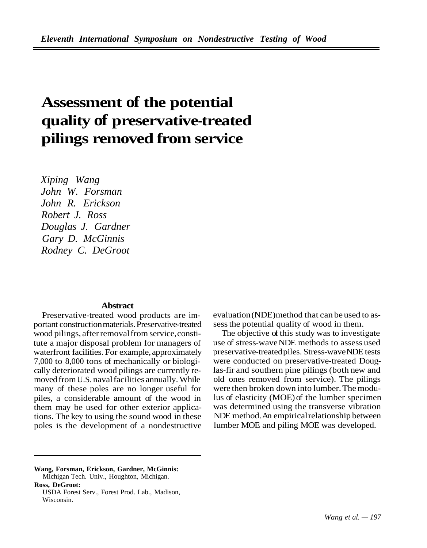## **Assessment of the potential quality of preservative-treated pilings removed from service**

*Xiping Wang John W. Forsman John R. Erickson Robert J. Ross Douglas J. Gardner Gary D. McGinnis Rodney C. DeGroot* 

## **Abstract**

Preservative-treated wood products are important construction materials. Preservative-treated wood pilings, after removal from service,constitute a major disposal problem for managers of waterfront facilities. For example, approximately 7,000 to 8,000 tons of mechanically or biologically deteriorated wood pilings are currently removed from U.S. naval facilities annually. While many of these poles are no longer useful for piles, a considerable amount of the wood in them may be used for other exterior applications. The key to using the sound wood in these poles is the development of a nondestructive evaluation (NDE)method that can be used to assess the potential quality of wood in them.

The objective of this study was to investigate use of stress-wave NDE methods to assess used preservative-treatedpiles. Stress-waveNDE tests were conducted on preservative-treated Douglas-fir and southern pine pilings (both new and old ones removed from service). The pilings were then broken down into lumber. The modulus of elasticity (MOE) of the lumber specimen was determined using the transverse vibration NDE method.An empiricalrelationship between lumber MOE and piling MOE was developed.

**Wang, Forsman, Erickson, Gardner, McGinnis:**  Michigan Tech. Univ., Houghton, Michigan. **Ross, DeGroot:** 

USDA Forest Serv., Forest Prod. Lab., Madison, Wisconsin.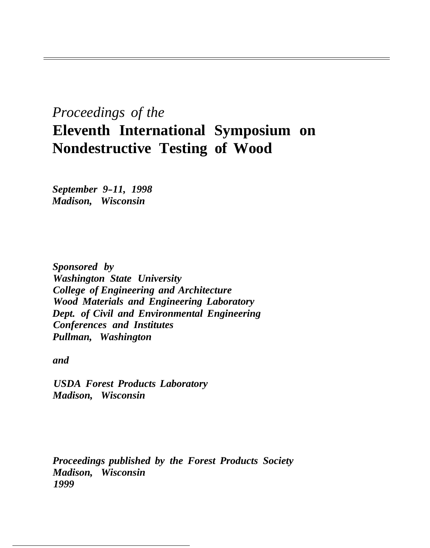## *Proceedings of the*  **Eleventh International Symposium on Nondestructive Testing of Wood**

*September 9-11, 1998 Madison, Wisconsin* 

*Sponsored by Washington State University College of Engineering and Architecture Wood Materials and Engineering Laboratory Dept. of Civil and Environmental Engineering Conferences and Institutes Pullman, Washington* 

*and* 

*USDA Forest Products Laboratory Madison, Wisconsin* 

*Proceedings published by the Forest Products Society Madison, Wisconsin 1999*